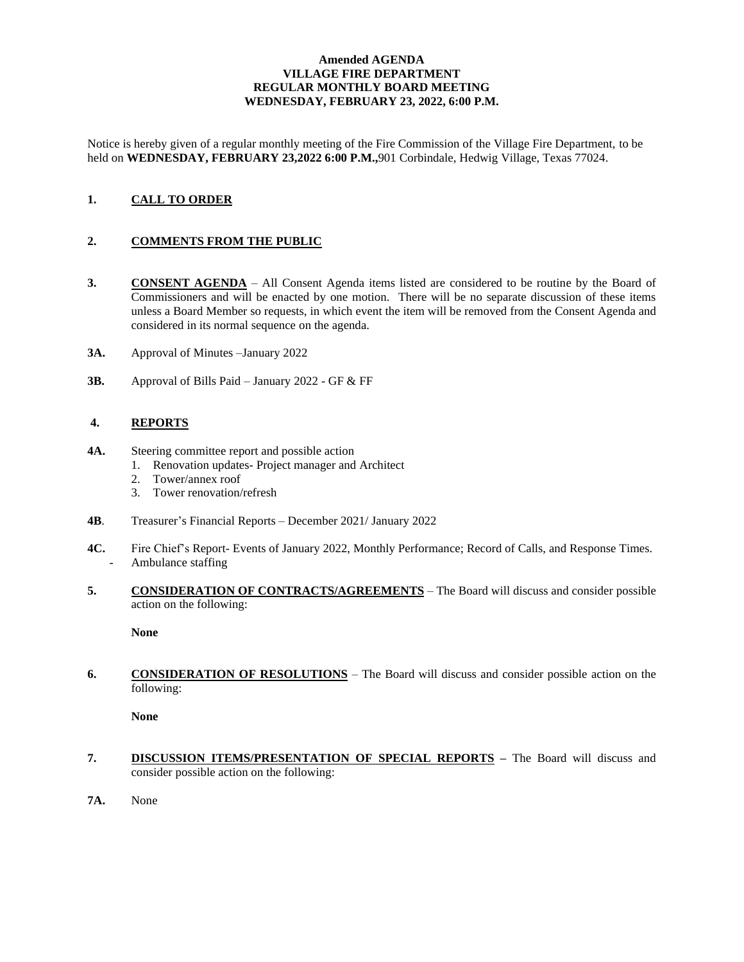#### **Amended AGENDA VILLAGE FIRE DEPARTMENT REGULAR MONTHLY BOARD MEETING WEDNESDAY, FEBRUARY 23, 2022, 6:00 P.M.**

Notice is hereby given of a regular monthly meeting of the Fire Commission of the Village Fire Department, to be held on **WEDNESDAY, FEBRUARY 23,2022 6:00 P.M.,**901 Corbindale, Hedwig Village, Texas 77024.

# **1. CALL TO ORDER**

### **2. COMMENTS FROM THE PUBLIC**

- **3. CONSENT AGENDA** All Consent Agenda items listed are considered to be routine by the Board of Commissioners and will be enacted by one motion. There will be no separate discussion of these items unless a Board Member so requests, in which event the item will be removed from the Consent Agenda and considered in its normal sequence on the agenda.
- **3A.** Approval of Minutes –January 2022
- **3B.** Approval of Bills Paid January 2022 GF & FF

### **4. REPORTS**

- **4A.** Steering committee report and possible action
	- 1. Renovation updates- Project manager and Architect
	- 2. Tower/annex roof
	- 3. Tower renovation/refresh
- **4B**. Treasurer's Financial Reports December 2021/ January 2022
- **4C.** Fire Chief's Report- Events of January 2022, Monthly Performance; Record of Calls, and Response Times. Ambulance staffing
- **5. CONSIDERATION OF CONTRACTS/AGREEMENTS** The Board will discuss and consider possible action on the following:

**None** 

**6. CONSIDERATION OF RESOLUTIONS** – The Board will discuss and consider possible action on the following:

**None**

- **7. DISCUSSION ITEMS/PRESENTATION OF SPECIAL REPORTS –** The Board will discuss and consider possible action on the following:
- **7A.** None